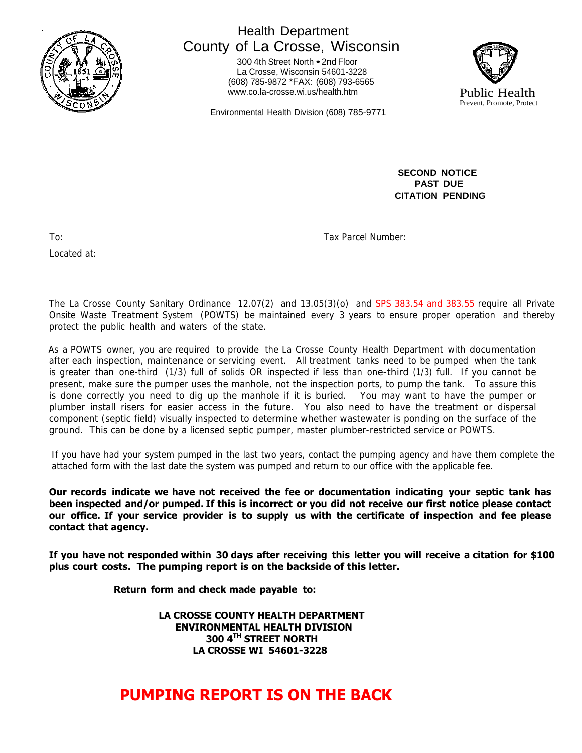

# Health Department County of La Crosse, Wisconsin

300 4th Street North • 2nd Floor La Crosse, Wisconsin 54601-3228 (608) 785-9872 \*FAX: (608) 793-6565 www.co.la-crosse.wi.us/health.htm Public Health



Environmental Health Division (608) 785-9771

**SECOND NOTICE PAST DUE CITATION PENDING**

Tax Parcel Number:

To:

Located at:

The La Crosse County Sanitary Ordinance 12.07(2) and 13.05(3)(o) and SPS 383.54 and 383.55 require all Private Onsite Waste Treatment System (POWTS) be maintained every 3 years to ensure proper operation and thereby protect the public health and waters of the state.

As a POWTS owner, you are required to provide the La Crosse County Health Department with documentation after each inspection, maintenance or servicing event. All treatment tanks need to be pumped when the tank is greater than one-third (1/3) full of solids OR inspected if less than one-third (1/3) full. If you cannot be present, make sure the pumper uses the manhole, not the inspection ports, to pump the tank. To assure this is done correctly you need to dig up the manhole if it is buried. You may want to have the pumper or plumber install risers for easier access in the future. You also need to have the treatment or dispersal component (septic field) visually inspected to determine whether wastewater is ponding on the surface of the ground. This can be done by a licensed septic pumper, master plumber-restricted service or POWTS.

If you have had your system pumped in the last two years, contact the pumping agency and have them complete the attached form with the last date the system was pumped and return to our office with the applicable fee.

**Our records indicate we have not received the fee or documentation indicating your septic tank has been inspected and/or pumped. If this is incorrect or you did not receive our first notice please contact our office. If your service provider is to supply us with the certificate of inspection and fee please contact that agency.** 

**If you have not responded within 30 days after receiving this letter you will receive a citation for \$100 plus court costs. The pumping report is on the backside of this letter.** 

**Return form and check made payable to:** 

**LA CROSSE COUNTY HEALTH DEPARTMENT ENVIRONMENTAL HEALTH DIVISION 300 4TH STREET NORTH LA CROSSE WI 54601-3228** 

# **PUMPING REPORT IS ON THE BACK**